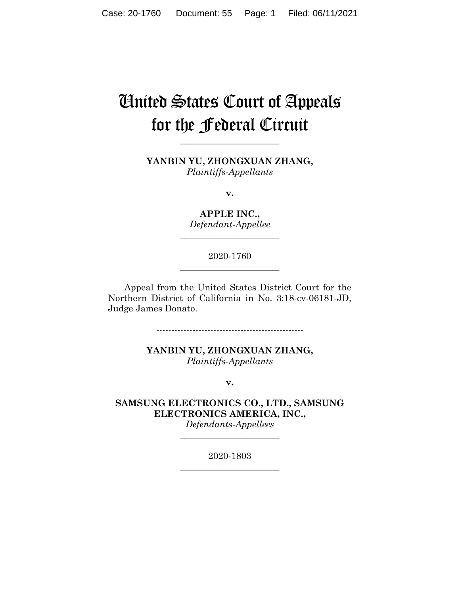# United States Court of Appeals for the Federal Circuit

**YANBIN YU, ZHONGXUAN ZHANG,** *Plaintiffs-Appellants*

**\_\_\_\_\_\_\_\_\_\_\_\_\_\_\_\_\_\_\_\_\_\_**

**v.**

**APPLE INC.,** *Defendant-Appellee*

**\_\_\_\_\_\_\_\_\_\_\_\_\_\_\_\_\_\_\_\_\_\_**

2020-1760 **\_\_\_\_\_\_\_\_\_\_\_\_\_\_\_\_\_\_\_\_\_\_**

Appeal from the United States District Court for the Northern District of California in No. 3:18-cv-06181-JD, Judge James Donato.

-------------------------------------------------

**YANBIN YU, ZHONGXUAN ZHANG,** *Plaintiffs-Appellants*

**v.**

**SAMSUNG ELECTRONICS CO., LTD., SAMSUNG ELECTRONICS AMERICA, INC.,**

*Defendants-Appellees* **\_\_\_\_\_\_\_\_\_\_\_\_\_\_\_\_\_\_\_\_\_\_**

2020-1803 **\_\_\_\_\_\_\_\_\_\_\_\_\_\_\_\_\_\_\_\_\_\_**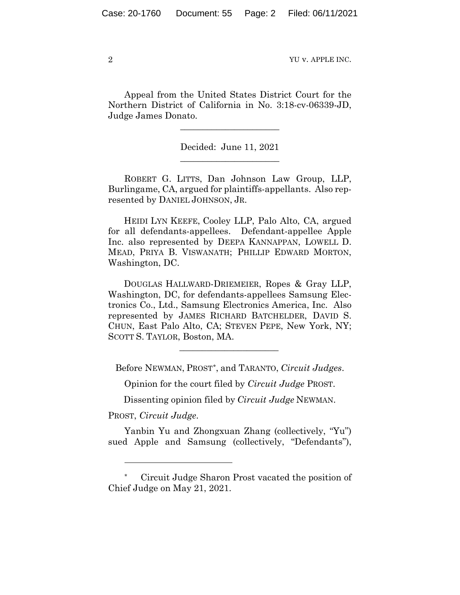Appeal from the United States District Court for the Northern District of California in No. 3:18-cv-06339-JD, Judge James Donato.

 $\overline{\phantom{a}}$  , where  $\overline{\phantom{a}}$  , where  $\overline{\phantom{a}}$  , where  $\overline{\phantom{a}}$ 

Decided: June 11, 2021  $\overline{\phantom{a}}$  , where  $\overline{\phantom{a}}$  , where  $\overline{\phantom{a}}$  , where  $\overline{\phantom{a}}$ 

ROBERT G. LITTS, Dan Johnson Law Group, LLP, Burlingame, CA, argued for plaintiffs-appellants. Also represented by DANIEL JOHNSON, JR.

 HEIDI LYN KEEFE, Cooley LLP, Palo Alto, CA, argued for all defendants-appellees. Defendant-appellee Apple Inc. also represented by DEEPA KANNAPPAN, LOWELL D. MEAD, PRIYA B. VISWANATH; PHILLIP EDWARD MORTON, Washington, DC.

 DOUGLAS HALLWARD-DRIEMEIER, Ropes & Gray LLP, Washington, DC, for defendants-appellees Samsung Electronics Co., Ltd., Samsung Electronics America, Inc. Also represented by JAMES RICHARD BATCHELDER, DAVID S. CHUN, East Palo Alto, CA; STEVEN PEPE, New York, NY; SCOTT S. TAYLOR, Boston, MA.

Before NEWMAN, PROST[\\*,](#page-1-0) and TARANTO, *Circuit Judges*.

 $\mathcal{L}_\text{max}$  and  $\mathcal{L}_\text{max}$  and  $\mathcal{L}_\text{max}$  and  $\mathcal{L}_\text{max}$ 

Opinion for the court filed by *Circuit Judge* PROST.

Dissenting opinion filed by *Circuit Judge* NEWMAN.

PROST, *Circuit Judge*.

Yanbin Yu and Zhongxuan Zhang (collectively, "Yu") sued Apple and Samsung (collectively, "Defendants"),

<span id="page-1-0"></span>Circuit Judge Sharon Prost vacated the position of Chief Judge on May 21, 2021.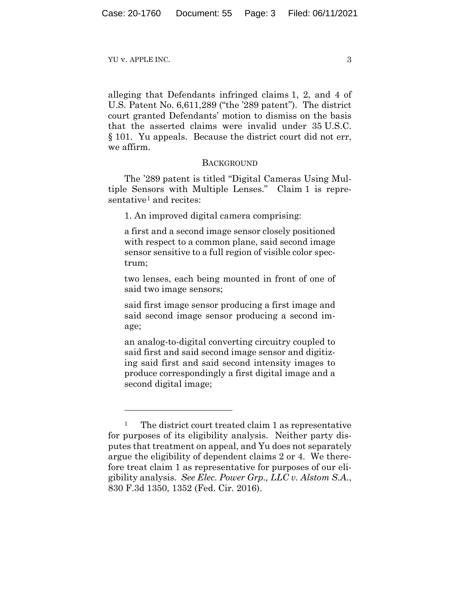YU V. APPLE INC.  $\frac{3}{3}$ 

alleging that Defendants infringed claims 1, 2, and 4 of U.S. Patent No. 6,611,289 ("the '289 patent"). The district court granted Defendants' motion to dismiss on the basis that the asserted claims were invalid under 35 U.S.C. § 101. Yu appeals. Because the district court did not err, we affirm.

## **BACKGROUND**

The '289 patent is titled "Digital Cameras Using Multiple Sensors with Multiple Lenses." Claim 1 is repre-sentative<sup>[1](#page-2-0)</sup> and recites:

1. An improved digital camera comprising:

a first and a second image sensor closely positioned with respect to a common plane, said second image sensor sensitive to a full region of visible color spectrum;

two lenses, each being mounted in front of one of said two image sensors;

said first image sensor producing a first image and said second image sensor producing a second image;

an analog-to-digital converting circuitry coupled to said first and said second image sensor and digitizing said first and said second intensity images to produce correspondingly a first digital image and a second digital image;

<span id="page-2-0"></span>The district court treated claim 1 as representative for purposes of its eligibility analysis. Neither party disputes that treatment on appeal, and Yu does not separately argue the eligibility of dependent claims 2 or 4. We therefore treat claim 1 as representative for purposes of our eligibility analysis. *See Elec. Power Grp., LLC v. Alstom S.A.*, 830 F.3d 1350, 1352 (Fed. Cir. 2016).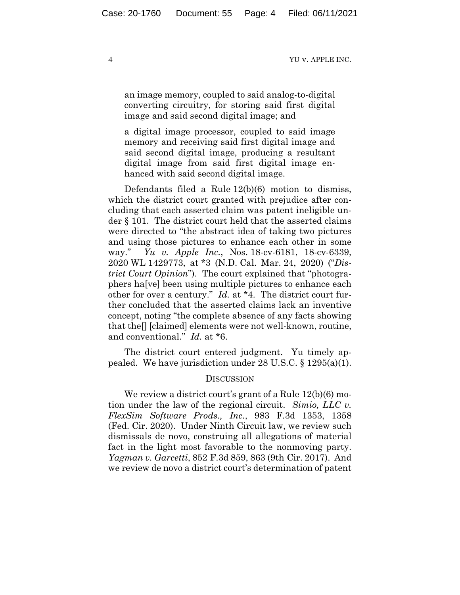an image memory, coupled to said analog-to-digital converting circuitry, for storing said first digital image and said second digital image; and

a digital image processor, coupled to said image memory and receiving said first digital image and said second digital image, producing a resultant digital image from said first digital image enhanced with said second digital image.

Defendants filed a Rule 12(b)(6) motion to dismiss, which the district court granted with prejudice after concluding that each asserted claim was patent ineligible under § 101. The district court held that the asserted claims were directed to "the abstract idea of taking two pictures and using those pictures to enhance each other in some way." *Yu v. Apple Inc.*, Nos. 18-cv-6181, 18-cv-6339, 2020 WL 1429773, at \*3 (N.D. Cal. Mar. 24, 2020) ("*District Court Opinion*"). The court explained that "photographers ha[ve] been using multiple pictures to enhance each other for over a century." *Id.* at \*4. The district court further concluded that the asserted claims lack an inventive concept, noting "the complete absence of any facts showing that the[] [claimed] elements were not well-known, routine, and conventional." *Id.* at \*6.

The district court entered judgment. Yu timely appealed. We have jurisdiction under 28 U.S.C. § 1295(a)(1).

### **DISCUSSION**

We review a district court's grant of a Rule 12(b)(6) motion under the law of the regional circuit. *Simio, LLC v. FlexSim Software Prods., Inc.*, 983 F.3d 1353, 1358 (Fed. Cir. 2020). Under Ninth Circuit law, we review such dismissals de novo, construing all allegations of material fact in the light most favorable to the nonmoving party. *Yagman v. Garcetti*, 852 F.3d 859, 863 (9th Cir. 2017). And we review de novo a district court's determination of patent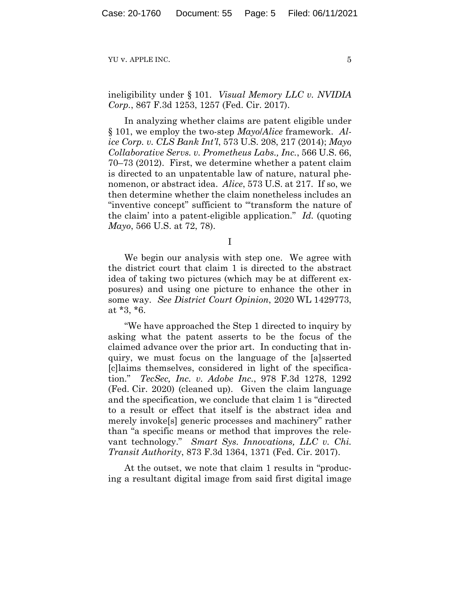ineligibility under § 101. *Visual Memory LLC v. NVIDIA Corp.*, 867 F.3d 1253, 1257 (Fed. Cir. 2017).

In analyzing whether claims are patent eligible under § 101, we employ the two-step *Mayo*/*Alice* framework. *Alice Corp. v. CLS Bank Int'l*, 573 U.S. 208, 217 (2014); *Mayo Collaborative Servs. v. Prometheus Labs., Inc.*, 566 U.S. 66, 70–73 (2012). First, we determine whether a patent claim is directed to an unpatentable law of nature, natural phenomenon, or abstract idea. *Alice*, 573 U.S. at 217. If so, we then determine whether the claim nonetheless includes an "inventive concept" sufficient to "'transform the nature of the claim' into a patent-eligible application." *Id.* (quoting *Mayo*, 566 U.S. at 72, 78).

I

We begin our analysis with step one. We agree with the district court that claim 1 is directed to the abstract idea of taking two pictures (which may be at different exposures) and using one picture to enhance the other in some way. *See District Court Opinion*, 2020 WL 1429773, at \*3, \*6.

"We have approached the Step 1 directed to inquiry by asking what the patent asserts to be the focus of the claimed advance over the prior art. In conducting that inquiry, we must focus on the language of the [a]sserted [c]laims themselves, considered in light of the specification." *TecSec, Inc. v. Adobe Inc.*, 978 F.3d 1278, 1292 (Fed. Cir. 2020) (cleaned up). Given the claim language and the specification, we conclude that claim 1 is "directed to a result or effect that itself is the abstract idea and merely invoke[s] generic processes and machinery" rather than "a specific means or method that improves the relevant technology." *Smart Sys. Innovations, LLC v. Chi. Transit Authority*, 873 F.3d 1364, 1371 (Fed. Cir. 2017).

At the outset, we note that claim 1 results in "producing a resultant digital image from said first digital image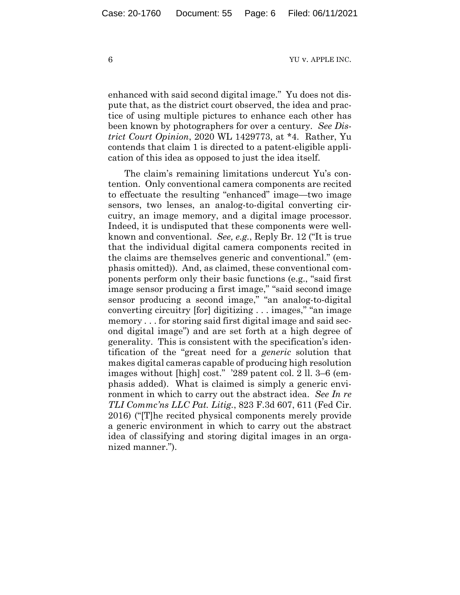enhanced with said second digital image." Yu does not dispute that, as the district court observed, the idea and practice of using multiple pictures to enhance each other has been known by photographers for over a century. *See District Court Opinion*, 2020 WL 1429773, at \*4. Rather, Yu contends that claim 1 is directed to a patent-eligible application of this idea as opposed to just the idea itself.

The claim's remaining limitations undercut Yu's contention. Only conventional camera components are recited to effectuate the resulting "enhanced" image—two image sensors, two lenses, an analog-to-digital converting circuitry, an image memory, and a digital image processor. Indeed, it is undisputed that these components were wellknown and conventional. *See, e.g.*, Reply Br. 12 ("It is true that the individual digital camera components recited in the claims are themselves generic and conventional." (emphasis omitted)). And, as claimed, these conventional components perform only their basic functions (e.g., "said first image sensor producing a first image," "said second image sensor producing a second image," "an analog-to-digital converting circuitry [for] digitizing . . . images," "an image memory . . . for storing said first digital image and said second digital image") and are set forth at a high degree of generality. This is consistent with the specification's identification of the "great need for a *generic* solution that makes digital cameras capable of producing high resolution images without [high] cost." '289 patent col. 2 ll. 3–6 (emphasis added). What is claimed is simply a generic environment in which to carry out the abstract idea. *See In re TLI Commc'ns LLC Pat. Litig.*, 823 F.3d 607, 611 (Fed Cir. 2016) ("[T]he recited physical components merely provide a generic environment in which to carry out the abstract idea of classifying and storing digital images in an organized manner.").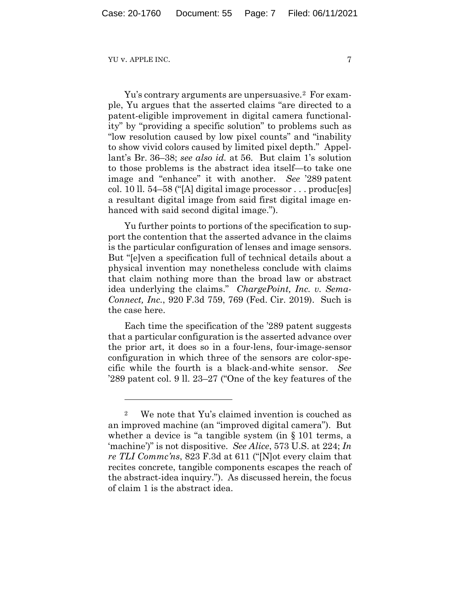Yu's contrary arguments are unpersuasive.[2](#page-6-0) For example, Yu argues that the asserted claims "are directed to a patent-eligible improvement in digital camera functionality" by "providing a specific solution" to problems such as "low resolution caused by low pixel counts" and "inability to show vivid colors caused by limited pixel depth." Appellant's Br. 36–38; *see also id.* at 56. But claim 1's solution to those problems is the abstract idea itself—to take one image and "enhance" it with another. *See* '289 patent col. 10 ll. 54–58 ("[A] digital image processor . . . produc[es] a resultant digital image from said first digital image enhanced with said second digital image.").

Yu further points to portions of the specification to support the contention that the asserted advance in the claims is the particular configuration of lenses and image sensors. But "[e]ven a specification full of technical details about a physical invention may nonetheless conclude with claims that claim nothing more than the broad law or abstract idea underlying the claims." *ChargePoint, Inc. v. Sema-Connect, Inc.*, 920 F.3d 759, 769 (Fed. Cir. 2019). Such is the case here.

Each time the specification of the '289 patent suggests that a particular configuration is the asserted advance over the prior art, it does so in a four-lens, four-image-sensor configuration in which three of the sensors are color-specific while the fourth is a black-and-white sensor. *See* '289 patent col. 9 ll. 23–27 ("One of the key features of the

<span id="page-6-0"></span><sup>2</sup> We note that Yu's claimed invention is couched as an improved machine (an "improved digital camera"). But whether a device is "a tangible system (in § 101 terms, a 'machine')" is not dispositive. *See Alice*, 573 U.S. at 224; *In re TLI Commc'ns*, 823 F.3d at 611 ("[N]ot every claim that recites concrete, tangible components escapes the reach of the abstract-idea inquiry."). As discussed herein, the focus of claim 1 is the abstract idea.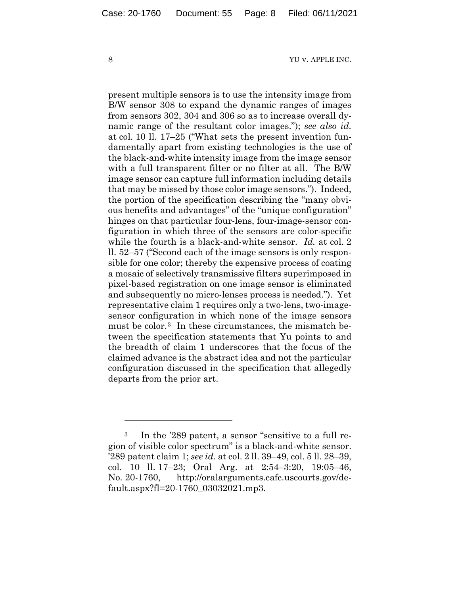present multiple sensors is to use the intensity image from B/W sensor 308 to expand the dynamic ranges of images from sensors 302, 304 and 306 so as to increase overall dynamic range of the resultant color images."); *see also id.*  at col. 10 ll. 17–25 ("What sets the present invention fundamentally apart from existing technologies is the use of the black-and-white intensity image from the image sensor with a full transparent filter or no filter at all. The B/W image sensor can capture full information including details that may be missed by those color image sensors."). Indeed, the portion of the specification describing the "many obvious benefits and advantages" of the "unique configuration" hinges on that particular four-lens, four-image-sensor configuration in which three of the sensors are color-specific while the fourth is a black-and-white sensor. *Id.* at col. 2 ll. 52–57 ("Second each of the image sensors is only responsible for one color; thereby the expensive process of coating a mosaic of selectively transmissive filters superimposed in pixel-based registration on one image sensor is eliminated and subsequently no micro-lenses process is needed."). Yet representative claim 1 requires only a two-lens, two-imagesensor configuration in which none of the image sensors must be color.<sup>[3](#page-7-0)</sup> In these circumstances, the mismatch between the specification statements that Yu points to and the breadth of claim 1 underscores that the focus of the claimed advance is the abstract idea and not the particular configuration discussed in the specification that allegedly departs from the prior art.

<span id="page-7-0"></span><sup>3</sup> In the '289 patent, a sensor "sensitive to a full region of visible color spectrum" is a black-and-white sensor. '289 patent claim 1; *see id.* at col. 2 ll. 39–49, col. 5 ll. 28–39, col. 10 ll. 17–23; Oral Arg. at 2:54–3:20, 19:05–46, No. 20-1760, http://oralarguments.cafc.uscourts.gov/default.aspx?fl=20-1760\_03032021.mp3.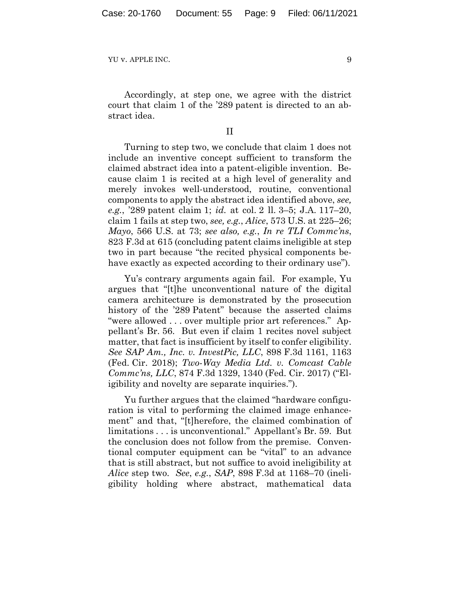Accordingly, at step one, we agree with the district court that claim 1 of the '289 patent is directed to an abstract idea.

## II

Turning to step two, we conclude that claim 1 does not include an inventive concept sufficient to transform the claimed abstract idea into a patent-eligible invention. Because claim 1 is recited at a high level of generality and merely invokes well-understood, routine, conventional components to apply the abstract idea identified above, *see, e.g.*, '289 patent claim 1; *id.* at col. 2 ll. 3–5; J.A. 117–20, claim 1 fails at step two, *see, e.g.*, *Alice*, 573 U.S. at 225–26; *Mayo*, 566 U.S. at 73; *see also, e.g.*, *In re TLI Commc'ns*, 823 F.3d at 615 (concluding patent claims ineligible at step two in part because "the recited physical components behave exactly as expected according to their ordinary use").

Yu's contrary arguments again fail. For example, Yu argues that "[t]he unconventional nature of the digital camera architecture is demonstrated by the prosecution history of the '289 Patent" because the asserted claims "were allowed . . . over multiple prior art references." Appellant's Br. 56. But even if claim 1 recites novel subject matter, that fact is insufficient by itself to confer eligibility. *See SAP Am., Inc. v. InvestPic, LLC*, 898 F.3d 1161, 1163 (Fed. Cir. 2018); *Two-Way Media Ltd. v. Comcast Cable Commc'ns, LLC*, 874 F.3d 1329, 1340 (Fed. Cir. 2017) ("Eligibility and novelty are separate inquiries.").

Yu further argues that the claimed "hardware configuration is vital to performing the claimed image enhancement" and that, "[t]herefore, the claimed combination of limitations . . . is unconventional." Appellant's Br. 59. But the conclusion does not follow from the premise. Conventional computer equipment can be "vital" to an advance that is still abstract, but not suffice to avoid ineligibility at *Alice* step two. *See*, *e.g.*, *SAP*, 898 F.3d at 1168–70 (ineligibility holding where abstract, mathematical data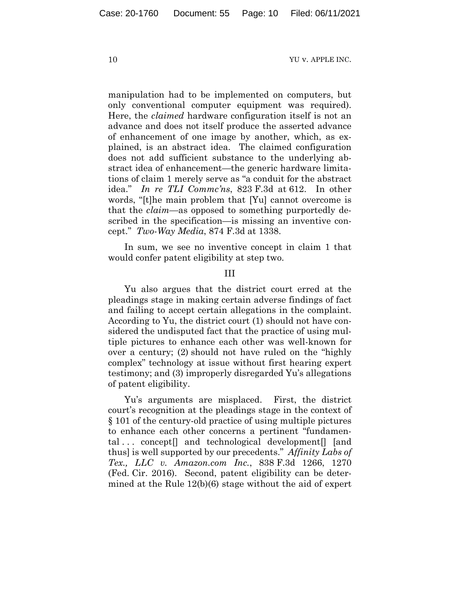manipulation had to be implemented on computers, but only conventional computer equipment was required). Here, the *claimed* hardware configuration itself is not an advance and does not itself produce the asserted advance of enhancement of one image by another, which, as explained, is an abstract idea. The claimed configuration does not add sufficient substance to the underlying abstract idea of enhancement—the generic hardware limitations of claim 1 merely serve as "a conduit for the abstract idea." *In re TLI Commc'ns*, 823 F.3d at 612. In other words, "[t]he main problem that [Yu] cannot overcome is that the *claim*—as opposed to something purportedly described in the specification—is missing an inventive concept." *Two-Way Media*, 874 F.3d at 1338.

In sum, we see no inventive concept in claim 1 that would confer patent eligibility at step two.

III

Yu also argues that the district court erred at the pleadings stage in making certain adverse findings of fact and failing to accept certain allegations in the complaint. According to Yu, the district court (1) should not have considered the undisputed fact that the practice of using multiple pictures to enhance each other was well-known for over a century; (2) should not have ruled on the "highly complex" technology at issue without first hearing expert testimony; and (3) improperly disregarded Yu's allegations of patent eligibility.

Yu's arguments are misplaced. First, the district court's recognition at the pleadings stage in the context of § 101 of the century-old practice of using multiple pictures to enhance each other concerns a pertinent "fundamental ... concept<sup>[]</sup> and technological development<sup>[]</sup> [and thus] is well supported by our precedents." *Affinity Labs of Tex., LLC v. Amazon.com Inc.*, 838 F.3d 1266, 1270 (Fed. Cir. 2016). Second, patent eligibility can be determined at the Rule 12(b)(6) stage without the aid of expert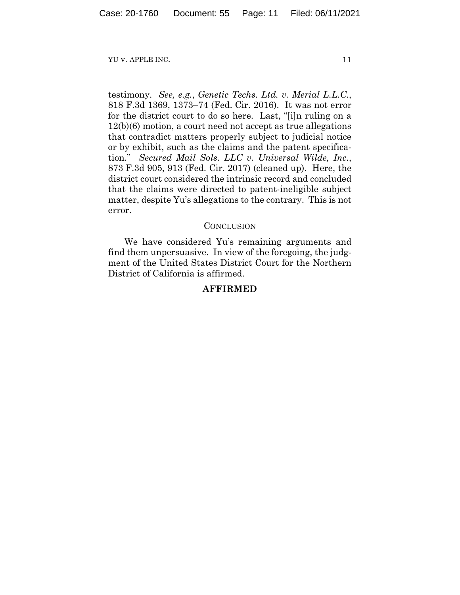testimony. *See, e.g.*, *Genetic Techs. Ltd. v. Merial L.L.C.*, 818 F.3d 1369, 1373–74 (Fed. Cir. 2016). It was not error for the district court to do so here. Last, "[i]n ruling on a 12(b)(6) motion, a court need not accept as true allegations that contradict matters properly subject to judicial notice or by exhibit, such as the claims and the patent specification." *Secured Mail Sols. LLC v. Universal Wilde, Inc.*, 873 F.3d 905, 913 (Fed. Cir. 2017) (cleaned up). Here, the district court considered the intrinsic record and concluded that the claims were directed to patent-ineligible subject matter, despite Yu's allegations to the contrary. This is not error.

## **CONCLUSION**

We have considered Yu's remaining arguments and find them unpersuasive. In view of the foregoing, the judgment of the United States District Court for the Northern District of California is affirmed.

## **AFFIRMED**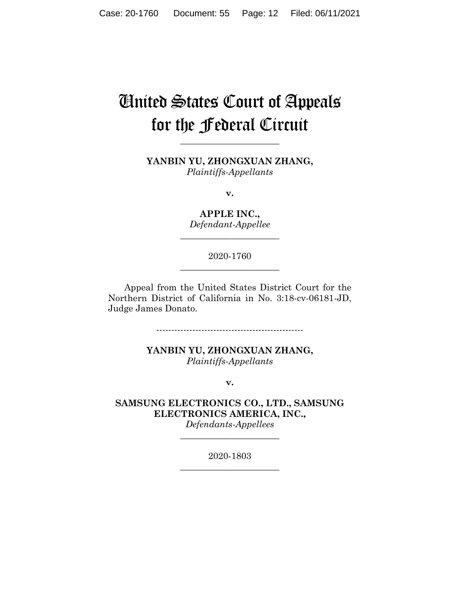# United States Court of Appeals for the Federal Circuit

**YANBIN YU, ZHONGXUAN ZHANG,** *Plaintiffs-Appellants*

**\_\_\_\_\_\_\_\_\_\_\_\_\_\_\_\_\_\_\_\_\_\_**

**v.**

**APPLE INC.,** *Defendant-Appellee*

**\_\_\_\_\_\_\_\_\_\_\_\_\_\_\_\_\_\_\_\_\_\_**

2020-1760 **\_\_\_\_\_\_\_\_\_\_\_\_\_\_\_\_\_\_\_\_\_\_**

Appeal from the United States District Court for the Northern District of California in No. 3:18-cv-06181-JD, Judge James Donato.

-------------------------------------------------

**YANBIN YU, ZHONGXUAN ZHANG,** *Plaintiffs-Appellants*

**v.**

**SAMSUNG ELECTRONICS CO., LTD., SAMSUNG ELECTRONICS AMERICA, INC.,**

*Defendants-Appellees* **\_\_\_\_\_\_\_\_\_\_\_\_\_\_\_\_\_\_\_\_\_\_**

2020-1803 **\_\_\_\_\_\_\_\_\_\_\_\_\_\_\_\_\_\_\_\_\_\_**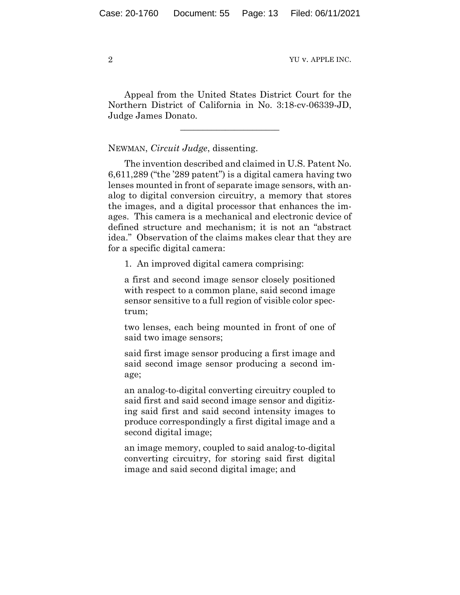Appeal from the United States District Court for the Northern District of California in No. 3:18-cv-06339-JD, Judge James Donato.

 $\overline{\phantom{a}}$  , where  $\overline{\phantom{a}}$  , where  $\overline{\phantom{a}}$  , where  $\overline{\phantom{a}}$ 

NEWMAN, *Circuit Judge*, dissenting.

The invention described and claimed in U.S. Patent No. 6,611,289 ("the '289 patent") is a digital camera having two lenses mounted in front of separate image sensors, with analog to digital conversion circuitry, a memory that stores the images, and a digital processor that enhances the images. This camera is a mechanical and electronic device of defined structure and mechanism; it is not an "abstract idea." Observation of the claims makes clear that they are for a specific digital camera:

1. An improved digital camera comprising:

a first and second image sensor closely positioned with respect to a common plane, said second image sensor sensitive to a full region of visible color spectrum;

two lenses, each being mounted in front of one of said two image sensors;

said first image sensor producing a first image and said second image sensor producing a second image;

an analog-to-digital converting circuitry coupled to said first and said second image sensor and digitizing said first and said second intensity images to produce correspondingly a first digital image and a second digital image;

an image memory, coupled to said analog-to-digital converting circuitry, for storing said first digital image and said second digital image; and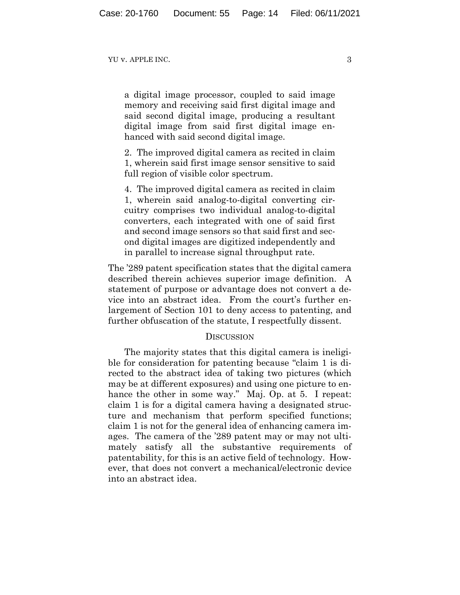a digital image processor, coupled to said image memory and receiving said first digital image and said second digital image, producing a resultant digital image from said first digital image enhanced with said second digital image.

2. The improved digital camera as recited in claim 1, wherein said first image sensor sensitive to said full region of visible color spectrum.

4. The improved digital camera as recited in claim 1, wherein said analog-to-digital converting circuitry comprises two individual analog-to-digital converters, each integrated with one of said first and second image sensors so that said first and second digital images are digitized independently and in parallel to increase signal throughput rate.

The '289 patent specification states that the digital camera described therein achieves superior image definition. A statement of purpose or advantage does not convert a device into an abstract idea. From the court's further enlargement of Section 101 to deny access to patenting, and further obfuscation of the statute, I respectfully dissent.

### DISCUSSION

The majority states that this digital camera is ineligible for consideration for patenting because "claim 1 is directed to the abstract idea of taking two pictures (which may be at different exposures) and using one picture to enhance the other in some way." Maj. Op. at 5. I repeat: claim 1 is for a digital camera having a designated structure and mechanism that perform specified functions; claim 1 is not for the general idea of enhancing camera images. The camera of the '289 patent may or may not ultimately satisfy all the substantive requirements of patentability, for this is an active field of technology. However, that does not convert a mechanical/electronic device into an abstract idea.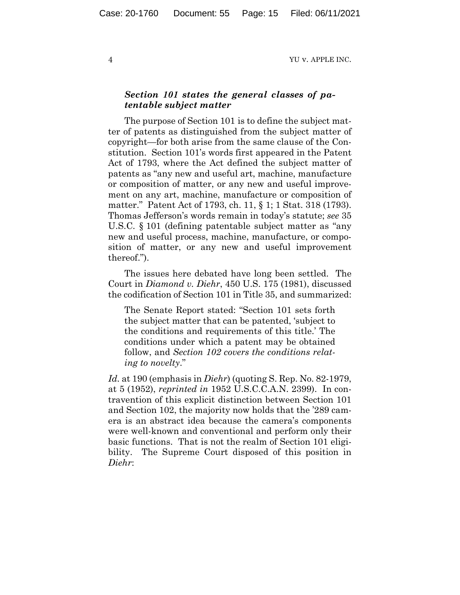## *Section 101 states the general classes of patentable subject matter*

The purpose of Section 101 is to define the subject matter of patents as distinguished from the subject matter of copyright—for both arise from the same clause of the Constitution. Section 101's words first appeared in the Patent Act of 1793, where the Act defined the subject matter of patents as "any new and useful art, machine, manufacture or composition of matter, or any new and useful improvement on any art, machine, manufacture or composition of matter." Patent Act of 1793, ch. 11, § 1; 1 Stat. 318 (1793). Thomas Jefferson's words remain in today's statute; *see* 35 U.S.C. § 101 (defining patentable subject matter as "any new and useful process, machine, manufacture, or composition of matter, or any new and useful improvement thereof.").

The issues here debated have long been settled. The Court in *Diamond v. Diehr*, 450 U.S. 175 (1981), discussed the codification of Section 101 in Title 35, and summarized:

The Senate Report stated: ["Section](https://1.next.westlaw.com/Link/Document/FullText?findType=L&pubNum=1000546&cite=35USCAS101&originatingDoc=Ic1dbcdee9c1e11d991d0cc6b54f12d4d&refType=LQ&originationContext=document&transitionType=DocumentItem&contextData=(sc.UserEnteredCitation)) 101 sets forth the subject matter that can be patented, 'subject to the conditions and requirements of this title.' The conditions under which a patent may be obtained follow, and *[Section](https://1.next.westlaw.com/Link/Document/FullText?findType=L&pubNum=1000546&cite=35USCAS102&originatingDoc=Ic1dbcdee9c1e11d991d0cc6b54f12d4d&refType=LQ&originationContext=document&transitionType=DocumentItem&contextData=(sc.UserEnteredCitation)) 102 covers the conditions relating to novelty*."

*Id.* at 190 (emphasis in *Diehr*) (quoting S. Rep. No. 82-1979, at 5 (1952), *reprinted in* 1952 U.S.C.C.A.N. 2399). In contravention of this explicit distinction between Section 101 and Section 102, the majority now holds that the '289 camera is an abstract idea because the camera's components were well-known and conventional and perform only their basic functions. That is not the realm of Section 101 eligibility. The Supreme Court disposed of this position in *Diehr*: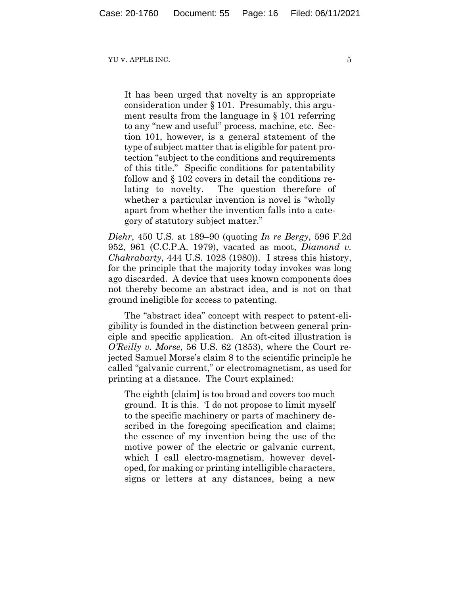It has been urged that novelty is an appropriate consideration under § [101.](https://1.next.westlaw.com/Link/Document/FullText?findType=L&pubNum=1000546&cite=35USCAS101&originatingDoc=Ic1dbcdee9c1e11d991d0cc6b54f12d4d&refType=LQ&originationContext=document&transitionType=DocumentItem&contextData=(sc.UserEnteredCitation)) Presumably, this argument results from the language in § [101](https://1.next.westlaw.com/Link/Document/FullText?findType=L&pubNum=1000546&cite=35USCAS101&originatingDoc=Ic1dbcdee9c1e11d991d0cc6b54f12d4d&refType=LQ&originationContext=document&transitionType=DocumentItem&contextData=(sc.UserEnteredCitation)) referring to any "new and useful" process, machine, etc. [Sec](https://1.next.westlaw.com/Link/Document/FullText?findType=L&pubNum=1000546&cite=35USCAS101&originatingDoc=Ic1dbcdee9c1e11d991d0cc6b54f12d4d&refType=LQ&originationContext=document&transitionType=DocumentItem&contextData=(sc.UserEnteredCitation))tion [101,](https://1.next.westlaw.com/Link/Document/FullText?findType=L&pubNum=1000546&cite=35USCAS101&originatingDoc=Ic1dbcdee9c1e11d991d0cc6b54f12d4d&refType=LQ&originationContext=document&transitionType=DocumentItem&contextData=(sc.UserEnteredCitation)) however, is a general statement of the type of subject matter that is eligible for patent protection "subject to the conditions and requirements of this title." Specific conditions for patentability follow and § [102](https://1.next.westlaw.com/Link/Document/FullText?findType=L&pubNum=1000546&cite=35USCAS102&originatingDoc=Ic1dbcdee9c1e11d991d0cc6b54f12d4d&refType=LQ&originationContext=document&transitionType=DocumentItem&contextData=(sc.UserEnteredCitation)) covers in detail the conditions relating to novelty. The question therefore of whether a particular invention is novel is "wholly apart from whether the invention falls into a category of statutory subject matter."

*Diehr*, 450 U.S. at 189–90 (quoting *In re Bergy*, 596 F.2d 952, 961 (C.C.P.A. 1979), vacated as moot, *Diamond v. Chakrabarty*, 444 U.S. 1028 (1980)). I stress this history, for the principle that the majority today invokes was long ago discarded. A device that uses known components does not thereby become an abstract idea, and is not on that ground ineligible for access to patenting.

The "abstract idea" concept with respect to patent-eligibility is founded in the distinction between general principle and specific application. An oft-cited illustration is *O'Reilly v. Morse*, 56 U.S. 62 (1853), where the Court rejected Samuel Morse's claim 8 to the scientific principle he called "galvanic current," or electromagnetism, as used for printing at a distance. The Court explained:

The eighth [claim] is too broad and covers too much ground. It is this. 'I do not propose to limit myself to the specific machinery or parts of machinery described in the foregoing specification and claims; the essence of my invention being the use of the motive power of the electric or galvanic current, which I call electro-magnetism, however developed, for making or printing intelligible characters, signs or letters at any distances, being a new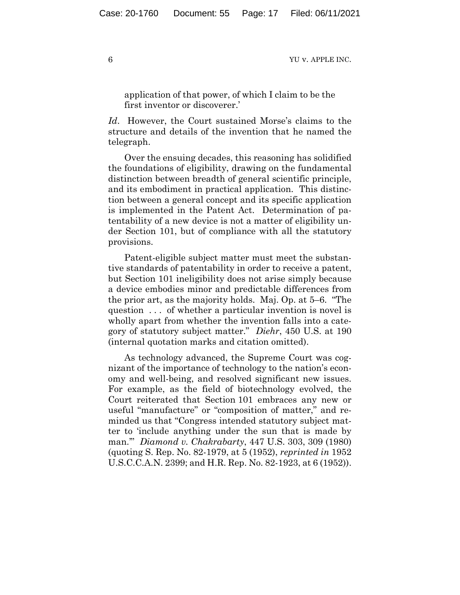application of that power, of which I claim to be the first inventor or discoverer.'

*Id*. However, the Court sustained Morse's claims to the structure and details of the invention that he named the telegraph.

Over the ensuing decades, this reasoning has solidified the foundations of eligibility, drawing on the fundamental distinction between breadth of general scientific principle, and its embodiment in practical application. This distinction between a general concept and its specific application is implemented in the Patent Act. Determination of patentability of a new device is not a matter of eligibility under Section 101, but of compliance with all the statutory provisions.

Patent-eligible subject matter must meet the substantive standards of patentability in order to receive a patent, but Section 101 ineligibility does not arise simply because a device embodies minor and predictable differences from the prior art, as the majority holds. Maj. Op. at 5–6. "The question . . . of whether a particular invention is novel is wholly apart from whether the invention falls into a category of statutory subject matter." *Diehr*, 450 U.S. at 190 (internal quotation marks and citation omitted).

As technology advanced, the Supreme Court was cognizant of the importance of technology to the nation's economy and well-being, and resolved significant new issues. For example, as the field of biotechnology evolved, the Court reiterated that Section 101 embraces any new or useful "manufacture" or "composition of matter," and reminded us that "Congress intended statutory subject matter to 'include anything under the sun that is made by man.'" *Diamond v. Chakrabarty*, 447 U.S. 303, 309 (1980) (quoting S. Rep. No. 82-1979, at 5 (1952), *reprinted in* 1952 U.S.C.C.A.N. 2399; and H.R. Rep. No. 82-1923, at 6 (1952)).